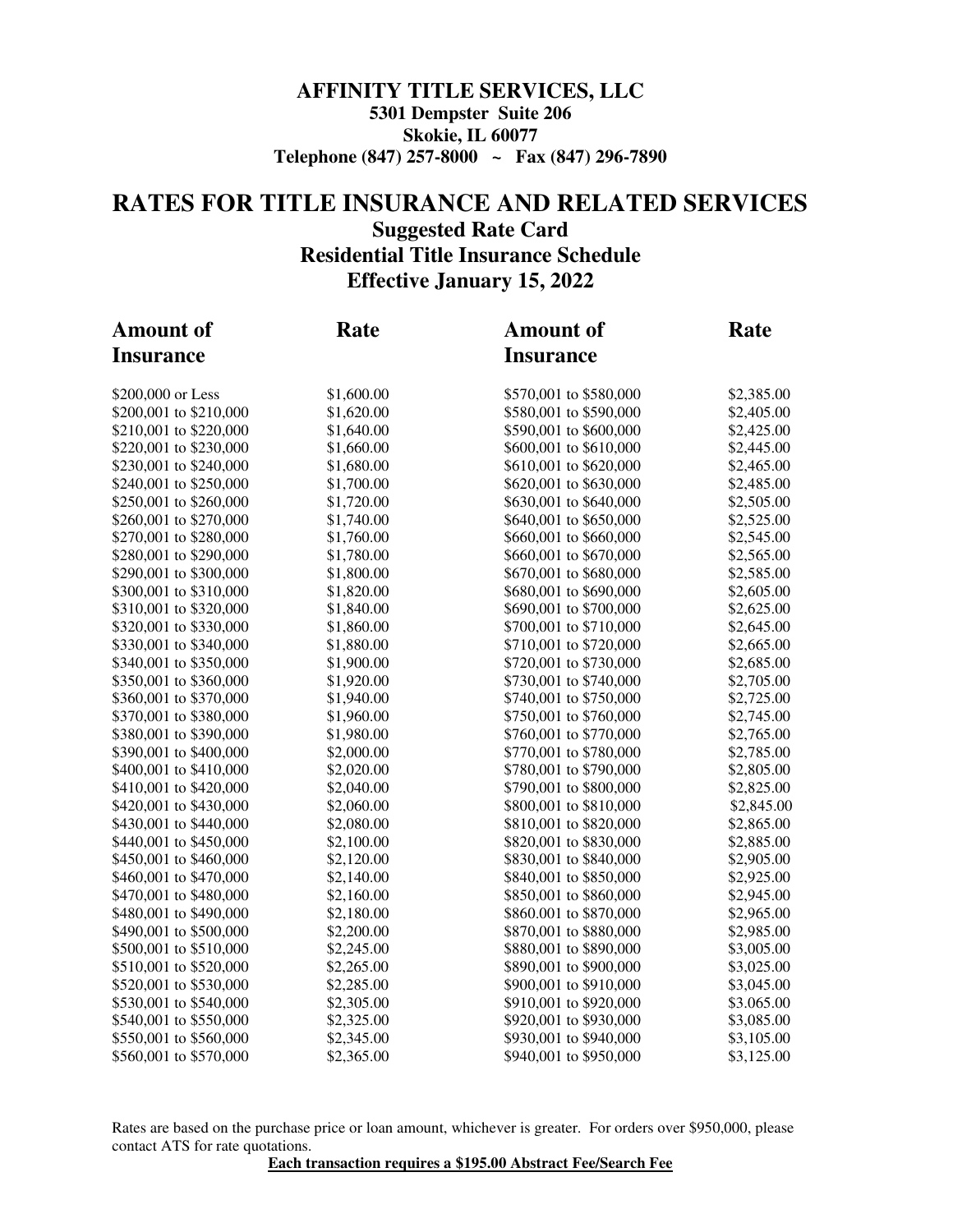#### **AFFINITY TITLE SERVICES, LLC 5301 Dempster Suite 206 Skokie, IL 60077 Telephone (847) 257-8000 ~ Fax (847) 296-7890**

### **RATES FOR TITLE INSURANCE AND RELATED SERVICES Suggested Rate Card Residential Title Insurance Schedule Effective January 15, 2022**

| <b>Amount of</b>       | Rate       | <b>Amount of</b>       | Rate       |  |
|------------------------|------------|------------------------|------------|--|
| <b>Insurance</b>       |            | <b>Insurance</b>       |            |  |
| \$200,000 or Less      | \$1,600.00 | \$570,001 to \$580,000 | \$2,385.00 |  |
| \$200,001 to \$210,000 | \$1,620.00 | \$580,001 to \$590,000 | \$2,405.00 |  |
| \$210,001 to \$220,000 | \$1,640.00 | \$590,001 to \$600,000 | \$2,425.00 |  |
| \$220,001 to \$230,000 | \$1,660.00 | \$600,001 to \$610,000 | \$2,445.00 |  |
| \$230,001 to \$240,000 | \$1,680.00 | \$610,001 to \$620,000 | \$2,465.00 |  |
| \$240,001 to \$250,000 | \$1,700.00 | \$620,001 to \$630,000 | \$2,485.00 |  |
| \$250,001 to \$260,000 | \$1,720.00 | \$630,001 to \$640,000 | \$2,505.00 |  |
| \$260,001 to \$270,000 | \$1,740.00 | \$640,001 to \$650,000 | \$2,525.00 |  |
| \$270,001 to \$280,000 | \$1,760.00 | \$660,001 to \$660,000 | \$2,545.00 |  |
| \$280,001 to \$290,000 | \$1,780.00 | \$660,001 to \$670,000 | \$2,565.00 |  |
| \$290,001 to \$300,000 | \$1,800.00 | \$670,001 to \$680,000 | \$2,585.00 |  |
| \$300,001 to \$310,000 | \$1,820.00 | \$680,001 to \$690,000 | \$2,605.00 |  |
| \$310,001 to \$320,000 | \$1,840.00 | \$690,001 to \$700,000 | \$2,625.00 |  |
| \$320,001 to \$330,000 | \$1,860.00 | \$700,001 to \$710,000 | \$2,645.00 |  |
| \$330,001 to \$340,000 | \$1,880.00 | \$710,001 to \$720,000 | \$2,665.00 |  |
| \$340,001 to \$350,000 | \$1,900.00 | \$720,001 to \$730,000 | \$2,685.00 |  |
| \$350,001 to \$360,000 | \$1,920.00 | \$730,001 to \$740,000 | \$2,705.00 |  |
| \$360,001 to \$370,000 | \$1,940.00 | \$740,001 to \$750,000 | \$2,725.00 |  |
| \$370,001 to \$380,000 | \$1,960.00 | \$750,001 to \$760,000 | \$2,745.00 |  |
| \$380,001 to \$390,000 | \$1,980.00 | \$760,001 to \$770,000 | \$2,765.00 |  |
| \$390,001 to \$400,000 | \$2,000.00 | \$770,001 to \$780,000 | \$2,785.00 |  |
| \$400,001 to \$410,000 | \$2,020.00 | \$780,001 to \$790,000 | \$2,805.00 |  |
| \$410,001 to \$420,000 | \$2,040.00 | \$790,001 to \$800,000 | \$2,825.00 |  |
| \$420,001 to \$430,000 | \$2,060.00 | \$800,001 to \$810,000 | \$2,845.00 |  |
| \$430,001 to \$440,000 | \$2,080.00 | \$810,001 to \$820,000 | \$2,865.00 |  |
| \$440,001 to \$450,000 | \$2,100.00 | \$820,001 to \$830,000 | \$2,885.00 |  |
| \$450,001 to \$460,000 | \$2,120.00 | \$830,001 to \$840,000 | \$2,905.00 |  |
| \$460,001 to \$470,000 | \$2,140.00 | \$840,001 to \$850,000 | \$2,925.00 |  |
| \$470,001 to \$480,000 | \$2,160.00 | \$850,001 to \$860,000 | \$2,945.00 |  |
| \$480,001 to \$490,000 | \$2,180.00 | \$860.001 to \$870,000 | \$2,965.00 |  |
| \$490,001 to \$500,000 | \$2,200.00 | \$870,001 to \$880,000 | \$2,985.00 |  |
| \$500,001 to \$510,000 | \$2,245.00 | \$880,001 to \$890,000 | \$3,005.00 |  |
| \$510,001 to \$520,000 | \$2,265.00 | \$890,001 to \$900,000 | \$3,025.00 |  |
| \$520,001 to \$530,000 | \$2,285.00 | \$900,001 to \$910,000 | \$3,045.00 |  |
| \$530,001 to \$540,000 | \$2,305.00 | \$910,001 to \$920,000 | \$3.065.00 |  |
| \$540,001 to \$550,000 | \$2,325.00 | \$920,001 to \$930,000 | \$3,085.00 |  |
| \$550,001 to \$560,000 | \$2,345.00 | \$930,001 to \$940,000 | \$3,105.00 |  |
| \$560,001 to \$570,000 | \$2,365.00 | \$940,001 to \$950,000 | \$3,125.00 |  |

Rates are based on the purchase price or loan amount, whichever is greater. For orders over \$950,000, please contact ATS for rate quotations.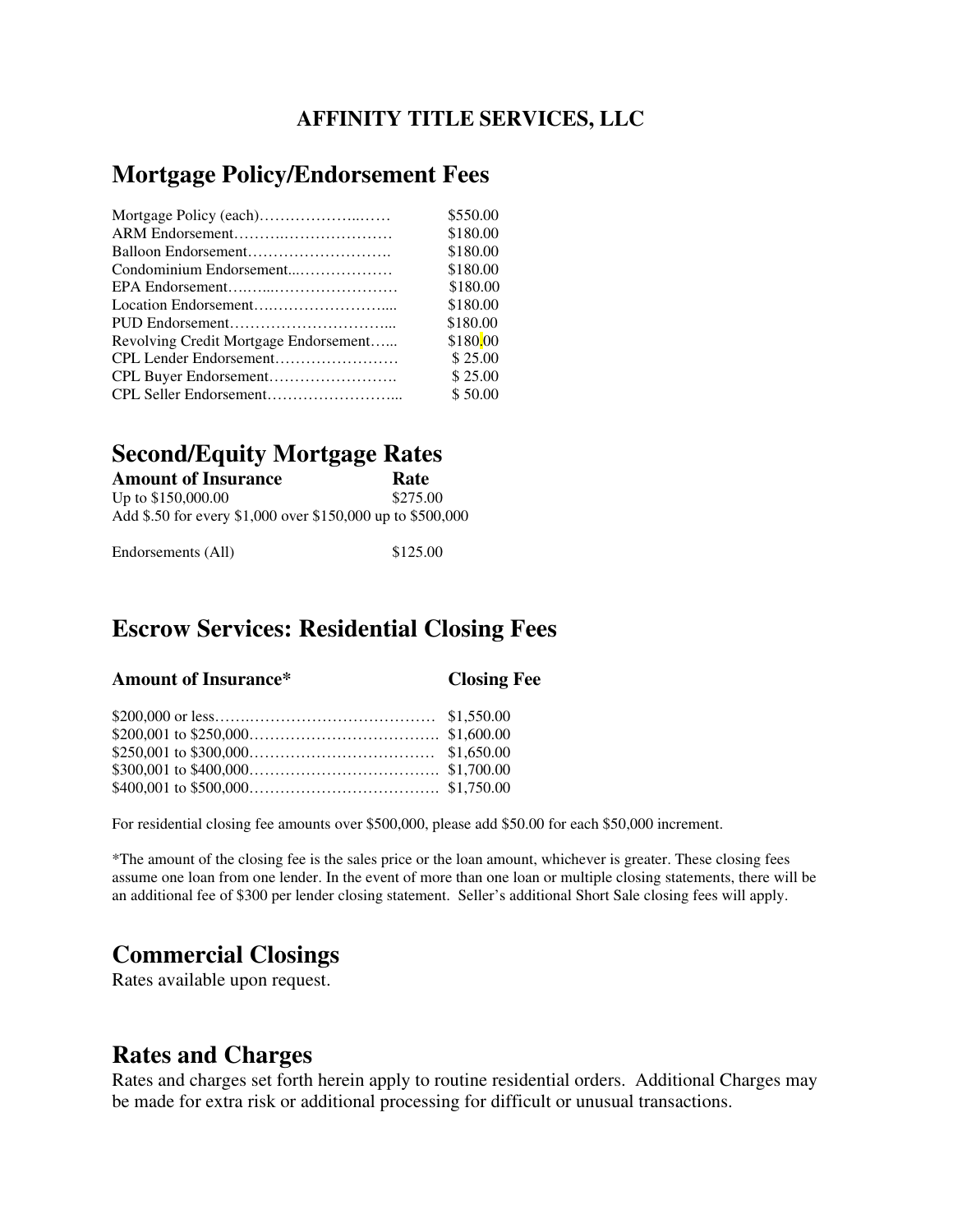### **AFFINITY TITLE SERVICES, LLC**

## **Mortgage Policy/Endorsement Fees**

|                                       | \$550.00 |
|---------------------------------------|----------|
|                                       | \$180.00 |
|                                       | \$180.00 |
|                                       | \$180.00 |
|                                       | \$180.00 |
|                                       | \$180.00 |
|                                       | \$180.00 |
| Revolving Credit Mortgage Endorsement | \$180.00 |
|                                       | \$25.00  |
|                                       | \$25.00  |
|                                       | \$50.00  |

### **Second/Equity Mortgage Rates**

| <b>Amount of Insurance</b>                                 | Rate     |
|------------------------------------------------------------|----------|
| Up to \$150,000.00                                         | \$275.00 |
| Add \$.50 for every \$1,000 over \$150,000 up to \$500,000 |          |

| Endorsements (All) | \$125.00 |
|--------------------|----------|
|--------------------|----------|

# **Escrow Services: Residential Closing Fees**

|  | <b>Amount of Insurance*</b> |
|--|-----------------------------|
|  |                             |

**Closing Fee** 

For residential closing fee amounts over \$500,000, please add \$50.00 for each \$50,000 increment.

\*The amount of the closing fee is the sales price or the loan amount, whichever is greater. These closing fees assume one loan from one lender. In the event of more than one loan or multiple closing statements, there will be an additional fee of \$300 per lender closing statement. Seller's additional Short Sale closing fees will apply.

# **Commercial Closings**

Rates available upon request.

### **Rates and Charges**

Rates and charges set forth herein apply to routine residential orders. Additional Charges may be made for extra risk or additional processing for difficult or unusual transactions.